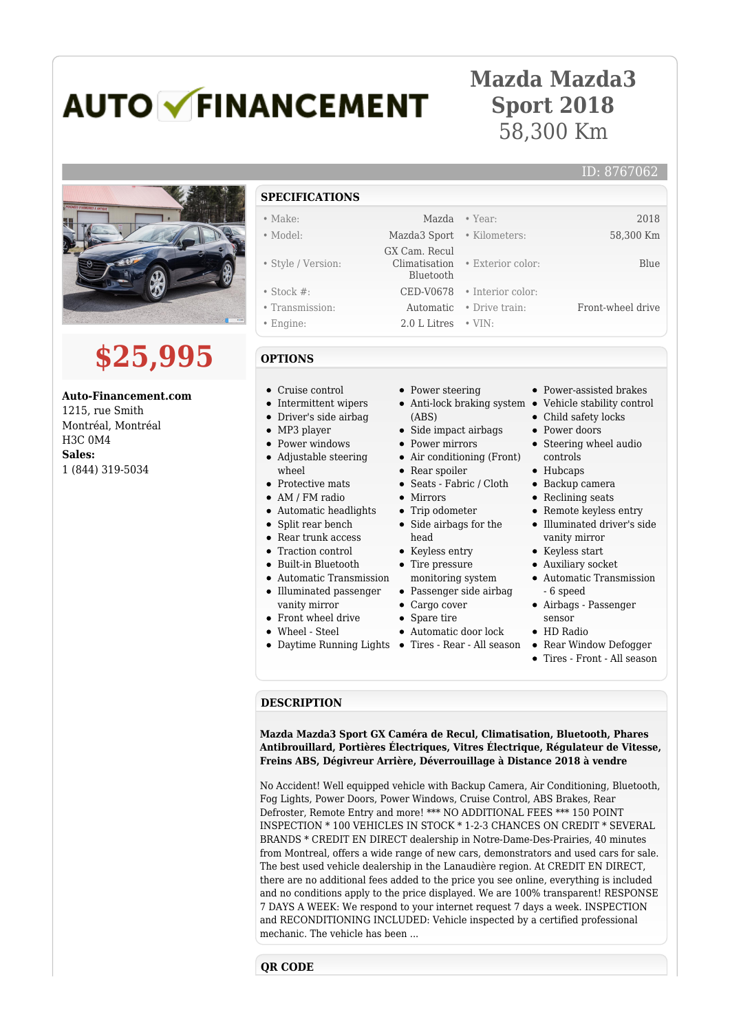# **AUTO V FINANCEMENT**

## **Mazda Mazda3 Sport 2018** 58,300 Km

• Exterior color: Blue

## **\$25,995**

**Auto-Financement.com** 1215, rue Smith Montréal, Montréal H3C 0M4 **Sales:** 1 (844) 319-5034

### **SPECIFICATIONS**

- 
- 
- Style / Version:
- Stock #: CED-V0678 Interior color:
- Transmission: Automatic Drive train: Front-wheel drive
- Engine: 2.0 L Litres VIN:

### **OPTIONS**

- Cruise control
- Intermittent wipers
- Driver's side airbag
- MP3 player
- 
- Adjustable steering wheel
- $\bullet$  Protective mats
- AM / FM radio
- Automatic headlights
- Split rear bench
- Rear trunk access
- Traction control
- Built-in Bluetooth
- Automatic Transmission
- Illuminated passenger
- vanity mirror
- Front wheel drive
- Wheel Steel
- 

• Power steering

 GX Cam. Recul Climatisation Bluetooth

- Anti-lock braking system Vehicle stability control (ABS)
- Side impact airbags
- Power mirrors
- Air conditioning (Front)
- Rear spoiler
- Seats Fabric / Cloth
- Mirrors
- Trip odometer
	- Side airbags for the head
	- Keyless entry
	- Tire pressure
	- monitoring system
	- Passenger side airbag
	- Cargo cover
	- Spare tire
	- Automatic door lock
- Daytime Running Lights Tires Rear All season

Power-assisted brakes

ID: 8767062

- 
- Child safety locks
- Power doors
	- Steering wheel audio controls
	- Hubcaps
	- Backup camera
	- Reclining seats
	- Remote keyless entry
	- Illuminated driver's side vanity mirror
	- Keyless start
	- Auxiliary socket
	- Automatic Transmission - 6 speed
	- Airbags Passenger sensor
	- HD Radio
	- Rear Window Defogger
	- Tires Front All season

#### **DESCRIPTION**

**Mazda Mazda3 Sport GX Caméra de Recul, Climatisation, Bluetooth, Phares Antibrouillard, Portières Électriques, Vitres Électrique, Régulateur de Vitesse, Freins ABS, Dégivreur Arrière, Déverrouillage à Distance 2018 à vendre**

No Accident! Well equipped vehicle with Backup Camera, Air Conditioning, Bluetooth, Fog Lights, Power Doors, Power Windows, Cruise Control, ABS Brakes, Rear Defroster, Remote Entry and more! \*\*\* NO ADDITIONAL FEES \*\*\* 150 POINT INSPECTION \* 100 VEHICLES IN STOCK \* 1-2-3 CHANCES ON CREDIT \* SEVERAL BRANDS \* CREDIT EN DIRECT dealership in Notre-Dame-Des-Prairies, 40 minutes from Montreal, offers a wide range of new cars, demonstrators and used cars for sale. The best used vehicle dealership in the Lanaudière region. At CREDIT EN DIRECT, there are no additional fees added to the price you see online, everything is included and no conditions apply to the price displayed. We are 100% transparent! RESPONSE 7 DAYS A WEEK: We respond to your internet request 7 days a week. INSPECTION and RECONDITIONING INCLUDED: Vehicle inspected by a certified professional mechanic. The vehicle has been ...

**QR CODE**

- Make: 2018 Mazda Year: 2018 • Model: Mazda3 Sport • Kilometers: 58,300 Km
- 
- 
- 
- 
- 

- 
- 

- 
- 
- Power windows
-